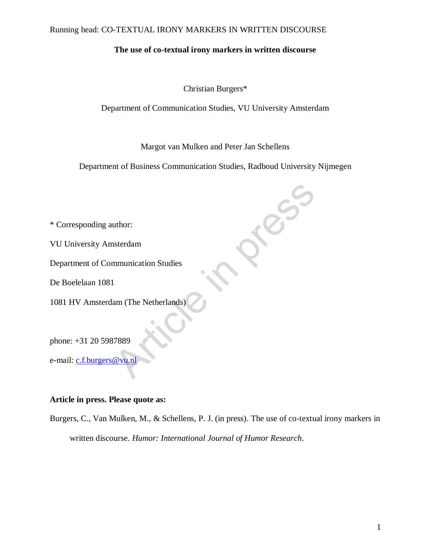# **The use of co-textual irony markers in written discourse**

Christian Burgers\*

Department of Communication Studies, VU University Amsterdam

Margot van Mulken and Peter Jan Schellens

Department of Business Communication Studies, Radboud University Nijmegen

**Resiste** 

\* Corresponding author:

VU University Amsterdam

Department of Communication Studies

De Boelelaan 1081

1081 HV Amsterdam (The Netherlands)

phone: +31 20 5987889

e-mail: c.f.burgers@vu.nl

# **Article in press. Please quote as:**

Burgers, C., Van Mulken, M., & Schellens, P. J. (in press). The use of co-textual irony markers in written discourse. *Humor: International Journal of Humor Research*.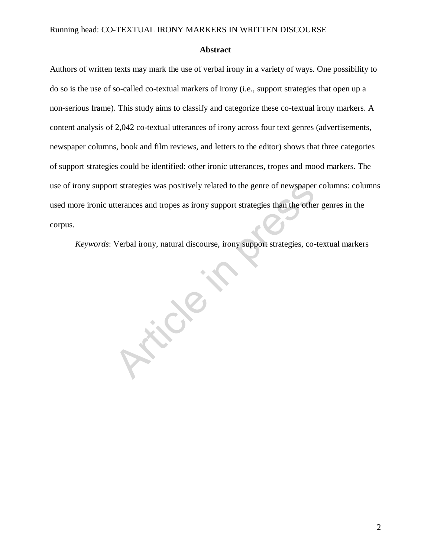#### **Abstract**

Authors of written texts may mark the use of verbal irony in a variety of ways. One possibility to do so is the use of so-called co-textual markers of irony (i.e., support strategies that open up a non-serious frame). This study aims to classify and categorize these co-textual irony markers. A content analysis of 2,042 co-textual utterances of irony across four text genres (advertisements, newspaper columns, book and film reviews, and letters to the editor) shows that three categories of support strategies could be identified: other ironic utterances, tropes and mood markers. The use of irony support strategies was positively related to the genre of newspaper columns: columns used more ironic utterances and tropes as irony support strategies than the other genres in the corpus.

*Keywords*: Verbal irony, natural discourse, irony support strategies, co-textual markers

Article in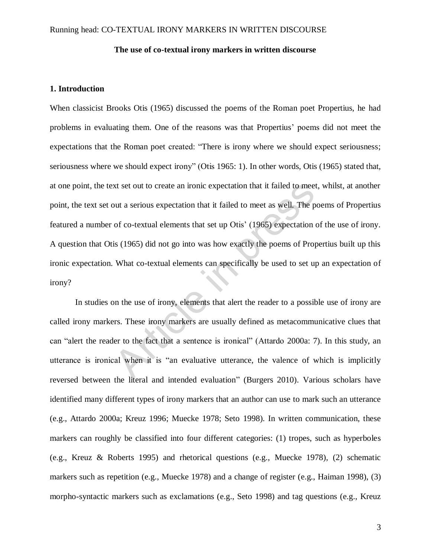## **The use of co-textual irony markers in written discourse**

# **1. Introduction**

When classicist Brooks Otis (1965) discussed the poems of the Roman poet Propertius, he had problems in evaluating them. One of the reasons was that Propertius' poems did not meet the expectations that the Roman poet created: "There is irony where we should expect seriousness; seriousness where we should expect irony" (Otis 1965: 1). In other words, Otis (1965) stated that, at one point, the text set out to create an ironic expectation that it failed to meet, whilst, at another point, the text set out a serious expectation that it failed to meet as well. The poems of Propertius featured a number of co-textual elements that set up Otis' (1965) expectation of the use of irony. A question that Otis (1965) did not go into was how exactly the poems of Propertius built up this ironic expectation. What co-textual elements can specifically be used to set up an expectation of irony? xt set out to create an ironic expectation that it failed to meet<br>out a serious expectation that it failed to meet as well. The p<br>of co-textual elements that set up Otis' (1965) expectation is<br>(1965) did not go into was ho

In studies on the use of irony, elements that alert the reader to a possible use of irony are called irony markers. These irony markers are usually defined as metacommunicative clues that can "alert the reader to the fact that a sentence is ironical" (Attardo 2000a: 7). In this study, an utterance is ironical when it is "an evaluative utterance, the valence of which is implicitly reversed between the literal and intended evaluation" (Burgers 2010). Various scholars have identified many different types of irony markers that an author can use to mark such an utterance (e.g., Attardo 2000a; Kreuz 1996; Muecke 1978; Seto 1998). In written communication, these markers can roughly be classified into four different categories: (1) tropes, such as hyperboles (e.g., Kreuz & Roberts 1995) and rhetorical questions (e.g., Muecke 1978), (2) schematic markers such as repetition (e.g., Muecke 1978) and a change of register (e.g., Haiman 1998), (3) morpho-syntactic markers such as exclamations (e.g., Seto 1998) and tag questions (e.g., Kreuz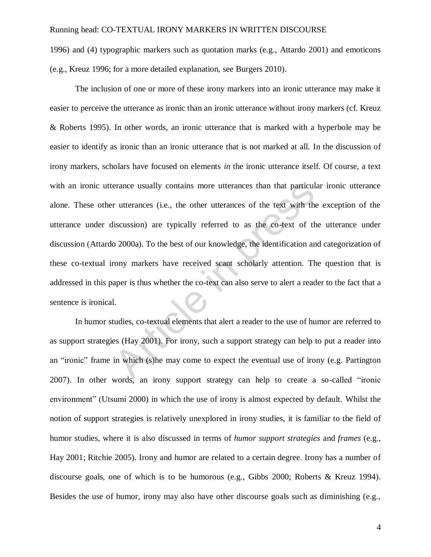1996) and (4) typographic markers such as quotation marks (e.g., Attardo 2001) and emoticons (e.g., Kreuz 1996; for a more detailed explanation, see Burgers 2010).

The inclusion of one or more of these irony markers into an ironic utterance may make it easier to perceive the utterance as ironic than an ironic utterance without irony markers (cf. Kreuz & Roberts 1995). In other words, an ironic utterance that is marked with a hyperbole may be easier to identify as ironic than an ironic utterance that is not marked at all. In the discussion of irony markers, scholars have focused on elements *in* the ironic utterance itself. Of course, a text with an ironic utterance usually contains more utterances than that particular ironic utterance alone. These other utterances (i.e., the other utterances of the text with the exception of the utterance under discussion) are typically referred to as the co-text of the utterance under discussion (Attardo 2000a). To the best of our knowledge, the identification and categorization of these co-textual irony markers have received scant scholarly attention. The question that is addressed in this paper is thus whether the co-text can also serve to alert a reader to the fact that a sentence is ironical. erance usually contains more utterances than that particul<br>
r utterances (i.e., the other utterances of the text with the<br>
liscussion) are typically referred to as the co-text of th<br>
co 2000a). To the best of our knowledge

In humor studies, co-textual elements that alert a reader to the use of humor are referred to as support strategies (Hay 2001). For irony, such a support strategy can help to put a reader into an "ironic" frame in which (s)he may come to expect the eventual use of irony (e.g. Partington 2007). In other words, an irony support strategy can help to create a so-called "ironic environment" (Utsumi 2000) in which the use of irony is almost expected by default. Whilst the notion of support strategies is relatively unexplored in irony studies, it is familiar to the field of humor studies, where it is also discussed in terms of *humor support strategies* and *frames* (e.g., Hay 2001; Ritchie 2005). Irony and humor are related to a certain degree. Irony has a number of discourse goals, one of which is to be humorous (e.g., Gibbs 2000; Roberts & Kreuz 1994). Besides the use of humor, irony may also have other discourse goals such as diminishing (e.g.,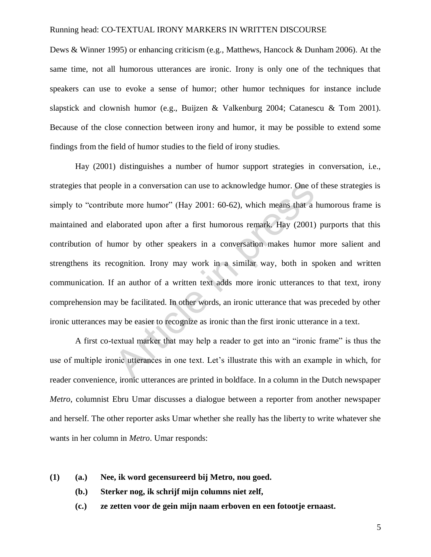Dews & Winner 1995) or enhancing criticism (e.g., Matthews, Hancock & Dunham 2006). At the same time, not all humorous utterances are ironic. Irony is only one of the techniques that speakers can use to evoke a sense of humor; other humor techniques for instance include slapstick and clownish humor (e.g., Buijzen & Valkenburg 2004; Catanescu & Tom 2001). Because of the close connection between irony and humor, it may be possible to extend some findings from the field of humor studies to the field of irony studies.

Hay (2001) distinguishes a number of humor support strategies in conversation, i.e., strategies that people in a conversation can use to acknowledge humor. One of these strategies is simply to "contribute more humor" (Hay 2001:  $60-62$ ), which means that a humorous frame is maintained and elaborated upon after a first humorous remark. Hay (2001) purports that this contribution of humor by other speakers in a conversation makes humor more salient and strengthens its recognition. Irony may work in a similar way, both in spoken and written communication. If an author of a written text adds more ironic utterances to that text, irony comprehension may be facilitated. In other words, an ironic utterance that was preceded by other ironic utterances may be easier to recognize as ironic than the first ironic utterance in a text. ple in a conversation can use to acknowledge humor. One of<br>the more humor" (Hay 2001: 60-62), which means that a<br>aborated upon after a first humorous remark. Hay (2001)<br>umor by other speakers in a conversation makes humor<br>

A first co-textual marker that may help a reader to get into an "ironic frame" is thus the use of multiple ironic utterances in one text. Let's illustrate this with an example in which, for reader convenience, ironic utterances are printed in boldface. In a column in the Dutch newspaper *Metro*, columnist Ebru Umar discusses a dialogue between a reporter from another newspaper and herself. The other reporter asks Umar whether she really has the liberty to write whatever she wants in her column in *Metro*. Umar responds:

- **(1) (a.) Nee, ik word gecensureerd bij Metro, nou goed.** 
	- **(b.) Sterker nog, ik schrijf mijn columns niet zelf,**
	- **(c.) ze zetten voor de gein mijn naam erboven en een fotootje ernaast.**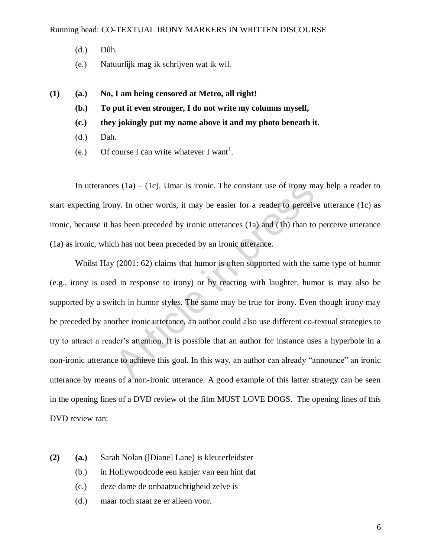- (d.) Dûh.
- (e.) Natuurlijk mag ik schrijven wat ik wil.
- **(1) (a.) No, I am being censored at Metro, all right!**
	- **(b.) To put it even stronger, I do not write my columns myself,**
	- **(c.) they jokingly put my name above it and my photo beneath it.**
	- (d.) Dah.
	- (e.) Of course I can write whatever I want<sup>1</sup>.

In utterances  $(1a) - (1c)$ , Umar is ironic. The constant use of irony may help a reader to start expecting irony. In other words, it may be easier for a reader to perceive utterance (1c) as ironic, because it has been preceded by ironic utterances (1a) and (1b) than to perceive utterance (1a) as ironic, which has not been preceded by an ironic utterance.

Whilst Hay (2001: 62) claims that humor is often supported with the same type of humor (e.g., irony is used in response to irony) or by reacting with laughter, humor is may also be supported by a switch in humor styles. The same may be true for irony. Even though irony may be preceded by another ironic utterance, an author could also use different co-textual strategies to try to attract a reader's attention. It is possible that an author for instance uses a hyperbole in a non-ironic utterance to achieve this goal. In this way, an author can already "announce" an ironic utterance by means of a non-ironic utterance. A good example of this latter strategy can be seen in the opening lines of a DVD review of the film MUST LOVE DOGS. The opening lines of this DVD review ran: es (1a) – (1c), Umar is ironic. The constant use of irony m<br>ny. In other words, it may be easier for a reader to perceiv<br>nas been preceded by ironic utterances (1a) and (1b) than to<br>ch has not been preceded by an ironic u

- **(2) (a.)** Sarah Nolan ([Diane] Lane) is kleuterleidster
	- (b.) in Hollywoodcode een kanjer van een hint dat
	- (c.) deze dame de onbaatzuchtigheid zelve is
	- (d.) maar toch staat ze er alleen voor.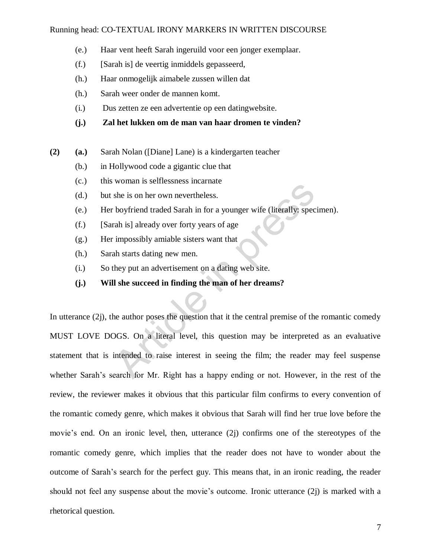- (e.) Haar vent heeft Sarah ingeruild voor een jonger exemplaar.
- (f.) [Sarah is] de veertig inmiddels gepasseerd,
- (h.) Haar onmogelijk aimabele zussen willen dat
- (h.) Sarah weer onder de mannen komt.
- (i.) Dus zetten ze een advertentie op een datingwebsite.
- **(j.) Zal het lukken om de man van haar dromen te vinden?**
- **(2) (a.)** Sarah Nolan ([Diane] Lane) is a kindergarten teacher
	- (b.) in Hollywood code a gigantic clue that
	- (c.) this woman is selflessness incarnate
	- (d.) but she is on her own nevertheless.
	- (e.) Her boyfriend traded Sarah in for a younger wife (literally: specimen).
	- (f.) [Sarah is] already over forty years of age
	- (g.) Her impossibly amiable sisters want that
	- (h.) Sarah starts dating new men.
	- (i.) So they put an advertisement on a dating web site.
	- **(j.) Will she succeed in finding the man of her dreams?**

In utterance (2j), the author poses the question that it the central premise of the romantic comedy MUST LOVE DOGS. On a literal level, this question may be interpreted as an evaluative statement that is intended to raise interest in seeing the film; the reader may feel suspense whether Sarah's search for Mr. Right has a happy ending or not. However, in the rest of the review, the reviewer makes it obvious that this particular film confirms to every convention of the romantic comedy genre, which makes it obvious that Sarah will find her true love before the movie's end. On an ironic level, then, utterance (2j) confirms one of the stereotypes of the romantic comedy genre, which implies that the reader does not have to wonder about the outcome of Sarah's search for the perfect guy. This means that, in an ironic reading, the reader should not feel any suspense about the movie's outcome. Ironic utterance (2j) is marked with a rhetorical question. Woman is sentessness incuriate<br>she is on her own nevertheless.<br>boyfriend traded Sarah in for a younger wife (literally: spec<br>rah is] already over forty years of age<br>impossibly amiable sisters want that<br>ah starts dating new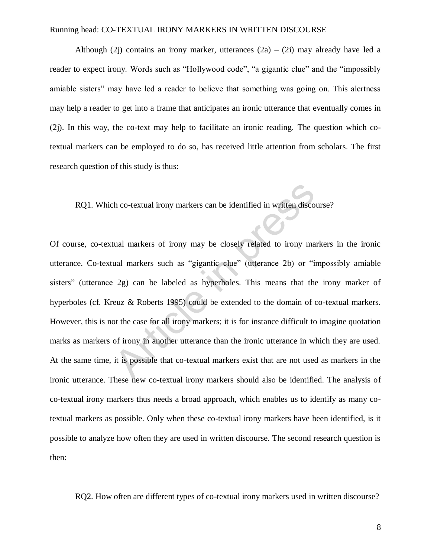Although (2j) contains an irony marker, utterances  $(2a) - (2i)$  may already have led a reader to expect irony. Words such as "Hollywood code", "a gigantic clue" and the "impossibly amiable sisters" may have led a reader to believe that something was going on. This alertness may help a reader to get into a frame that anticipates an ironic utterance that eventually comes in (2j). In this way, the co-text may help to facilitate an ironic reading. The question which cotextual markers can be employed to do so, has received little attention from scholars. The first research question of this study is thus:

RQ1. Which co-textual irony markers can be identified in written discourse?

Of course, co-textual markers of irony may be closely related to irony markers in the ironic utterance. Co-textual markers such as "gigantic clue" (utterance 2b) or "impossibly amiable sisters" (utterance 2g) can be labeled as hyperboles. This means that the irony marker of hyperboles (cf. Kreuz & Roberts 1995) could be extended to the domain of co-textual markers. However, this is not the case for all irony markers; it is for instance difficult to imagine quotation marks as markers of irony in another utterance than the ironic utterance in which they are used. At the same time, it is possible that co-textual markers exist that are not used as markers in the ironic utterance. These new co-textual irony markers should also be identified. The analysis of co-textual irony markers thus needs a broad approach, which enables us to identify as many cotextual markers as possible. Only when these co-textual irony markers have been identified, is it possible to analyze how often they are used in written discourse. The second research question is then: the co-textual irony markers can be identified in written discoted<br>tual markers of irony may be closely related to irony ma<br>ual markers such as "gigantic clue" (utterance 2b) or "is<br>2g) can be labeled as hyperboles. This m

RQ2. How often are different types of co-textual irony markers used in written discourse?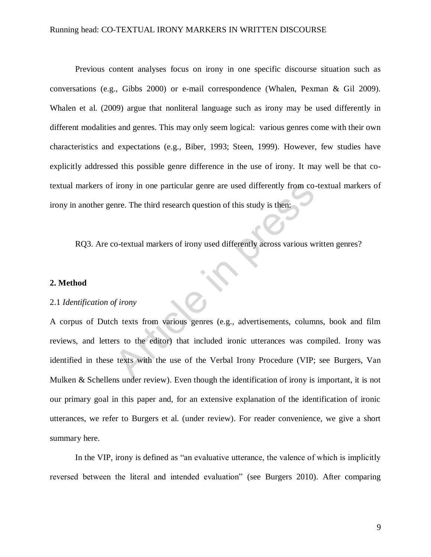Previous content analyses focus on irony in one specific discourse situation such as conversations (e.g., Gibbs 2000) or e-mail correspondence (Whalen, Pexman & Gil 2009). Whalen et al. (2009) argue that nonliteral language such as irony may be used differently in different modalities and genres. This may only seem logical: various genres come with their own characteristics and expectations (e.g., Biber, 1993; Steen, 1999). However, few studies have explicitly addressed this possible genre difference in the use of irony. It may well be that cotextual markers of irony in one particular genre are used differently from co-textual markers of irony in another genre. The third research question of this study is then:

RQ3. Are co-textual markers of irony used differently across various written genres?

## **2. Method**

### 2.1 *Identification of irony*

A corpus of Dutch texts from various genres (e.g., advertisements, columns, book and film reviews, and letters to the editor) that included ironic utterances was compiled. Irony was identified in these texts with the use of the Verbal Irony Procedure (VIP; see Burgers, Van Mulken & Schellens under review). Even though the identification of irony is important, it is not our primary goal in this paper and, for an extensive explanation of the identification of ironic utterances, we refer to Burgers et al. (under review). For reader convenience, we give a short summary here. From in one particular genre are used differently from comme. The third research question of this study is then:<br>
Co-textual markers of irony used differently across various we<br>
Co-textual markers of irony used differently

In the VIP, irony is defined as "an evaluative utterance, the valence of which is implicitly reversed between the literal and intended evaluation" (see Burgers 2010). After comparing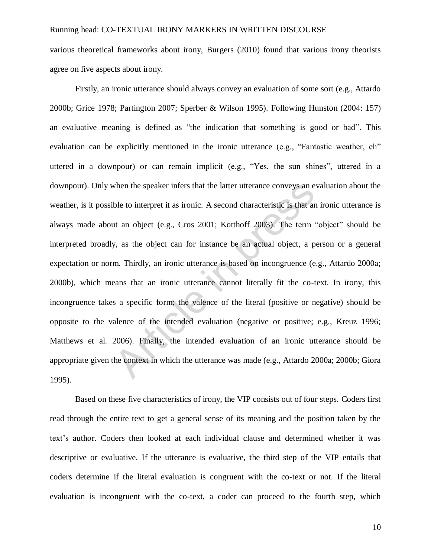various theoretical frameworks about irony, Burgers (2010) found that various irony theorists agree on five aspects about irony.

Firstly, an ironic utterance should always convey an evaluation of some sort (e.g., Attardo 2000b; Grice 1978; Partington 2007; Sperber & Wilson 1995). Following Hunston (2004: 157) an evaluative meaning is defined as "the indication that something is good or bad". This evaluation can be explicitly mentioned in the ironic utterance (e.g., "Fantastic weather, eh" uttered in a downpour) or can remain implicit (e.g., "Yes, the sun shines", uttered in a downpour). Only when the speaker infers that the latter utterance conveys an evaluation about the weather, is it possible to interpret it as ironic. A second characteristic is that an ironic utterance is always made about an object (e.g., Cros 2001; Kotthoff 2003). The term "object" should be interpreted broadly, as the object can for instance be an actual object, a person or a general expectation or norm. Thirdly, an ironic utterance is based on incongruence (e.g., Attardo 2000a; 2000b), which means that an ironic utterance cannot literally fit the co-text. In irony, this incongruence takes a specific form; the valence of the literal (positive or negative) should be opposite to the valence of the intended evaluation (negative or positive; e.g., Kreuz 1996; Matthews et al. 2006). Finally, the intended evaluation of an ironic utterance should be appropriate given the context in which the utterance was made (e.g., Attardo 2000a; 2000b; Giora 1995). when the speaker infers that the latter utterance conveys an e<br>ble to interpret it as ironic. A second characteristic is that an<br>ut an object (e.g., Cros 2001; Kotthoff 2003). The term<br>v, as the object can for instance be

Based on these five characteristics of irony, the VIP consists out of four steps. Coders first read through the entire text to get a general sense of its meaning and the position taken by the text's author. Coders then looked at each individual clause and determined whether it was descriptive or evaluative. If the utterance is evaluative, the third step of the VIP entails that coders determine if the literal evaluation is congruent with the co-text or not. If the literal evaluation is incongruent with the co-text, a coder can proceed to the fourth step, which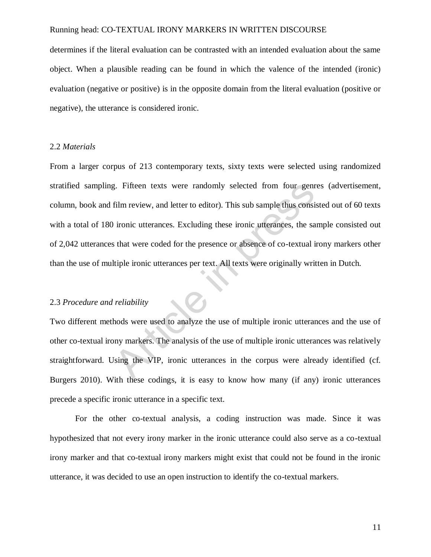determines if the literal evaluation can be contrasted with an intended evaluation about the same object. When a plausible reading can be found in which the valence of the intended (ironic) evaluation (negative or positive) is in the opposite domain from the literal evaluation (positive or negative), the utterance is considered ironic.

## 2.2 *Materials*

From a larger corpus of 213 contemporary texts, sixty texts were selected using randomized stratified sampling. Fifteen texts were randomly selected from four genres (advertisement, column, book and film review, and letter to editor). This sub sample thus consisted out of 60 texts with a total of 180 ironic utterances. Excluding these ironic utterances, the sample consisted out of 2,042 utterances that were coded for the presence or absence of co-textual irony markers other than the use of multiple ironic utterances per text. All texts were originally written in Dutch. Example the texts were randomly selected from four genry.<br>
Film review, and letter to editor). This sub sample thus consi<br>
ironic utterances. Excluding these ironic utterances, the sa<br>
sthat were coded for the presence or

# 2.3 *Procedure and reliability*

Two different methods were used to analyze the use of multiple ironic utterances and the use of other co-textual irony markers. The analysis of the use of multiple ironic utterances was relatively straightforward. Using the VIP, ironic utterances in the corpus were already identified (cf. Burgers 2010). With these codings, it is easy to know how many (if any) ironic utterances precede a specific ironic utterance in a specific text.

 For the other co-textual analysis, a coding instruction was made. Since it was hypothesized that not every irony marker in the ironic utterance could also serve as a co-textual irony marker and that co-textual irony markers might exist that could not be found in the ironic utterance, it was decided to use an open instruction to identify the co-textual markers.

11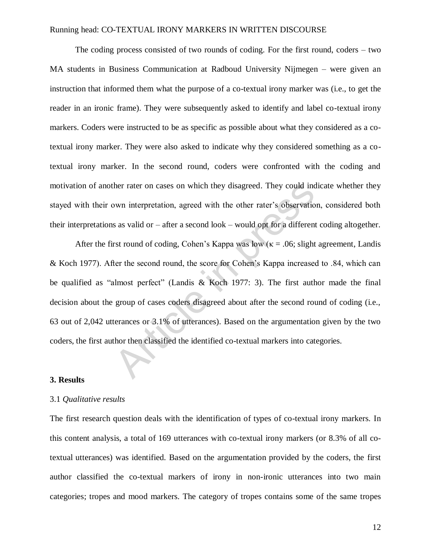The coding process consisted of two rounds of coding. For the first round, coders – two MA students in Business Communication at Radboud University Nijmegen – were given an instruction that informed them what the purpose of a co-textual irony marker was (i.e., to get the reader in an ironic frame). They were subsequently asked to identify and label co-textual irony markers. Coders were instructed to be as specific as possible about what they considered as a cotextual irony marker. They were also asked to indicate why they considered something as a cotextual irony marker. In the second round, coders were confronted with the coding and motivation of another rater on cases on which they disagreed. They could indicate whether they stayed with their own interpretation, agreed with the other rater's observation, considered both their interpretations as valid or – after a second look – would opt for a different coding altogether.

After the first round of coding, Cohen's Kappa was low ( $\kappa$  = .06; slight agreement, Landis & Koch 1977). After the second round, the score for Cohen's Kappa increased to .84, which can be qualified as "almost perfect" (Landis & Koch 1977: 3). The first author made the final decision about the group of cases coders disagreed about after the second round of coding (i.e., 63 out of 2,042 utterances or 3.1% of utterances). Based on the argumentation given by the two coders, the first author then classified the identified co-textual markers into categories. her rater on cases on which they disagreed. They could incown interpretation, agreed with the other rater's observations as valid or – after a second look – would opt for a different rst round of coding, Cohen's Kappa was

## **3. Results**

#### 3.1 *Qualitative results*

The first research question deals with the identification of types of co-textual irony markers. In this content analysis, a total of 169 utterances with co-textual irony markers (or 8.3% of all cotextual utterances) was identified. Based on the argumentation provided by the coders, the first author classified the co-textual markers of irony in non-ironic utterances into two main categories; tropes and mood markers. The category of tropes contains some of the same tropes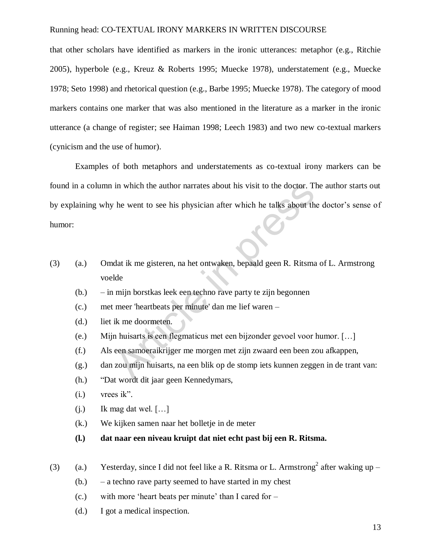that other scholars have identified as markers in the ironic utterances: metaphor (e.g., Ritchie 2005), hyperbole (e.g., Kreuz & Roberts 1995; Muecke 1978), understatement (e.g., Muecke 1978; Seto 1998) and rhetorical question (e.g., Barbe 1995; Muecke 1978). The category of mood markers contains one marker that was also mentioned in the literature as a marker in the ironic utterance (a change of register; see Haiman 1998; Leech 1983) and two new co-textual markers (cynicism and the use of humor).

Examples of both metaphors and understatements as co-textual irony markers can be found in a column in which the author narrates about his visit to the doctor. The author starts out by explaining why he went to see his physician after which he talks about the doctor's sense of humor: in which the author narrates about his visit to the doctor. The went to see his physician after which he talks about the vent to see his physician after which he talks about the data it me gisteren, na het ontwaken, bepaal

- (3) (a.) Omdat ik me gisteren, na het ontwaken, bepaald geen R. Ritsma of L. Armstrong voelde
	- (b.) in mijn borstkas leek een techno rave party te zijn begonnen
	- (c.) met meer 'heartbeats per minute' dan me lief waren –
	- (d.) liet ik me doormeten.
	- (e.) Mijn huisarts is een flegmaticus met een bijzonder gevoel voor humor. […]
	- (f.) Als een samoeraikrijger me morgen met zijn zwaard een been zou afkappen,
	- (g.) dan zou mijn huisarts, na een blik op de stomp iets kunnen zeggen in de trant van:
	- (h.) 
	"Dat wordt dit jaar geen Kennedymars,
	- $(i.)$  vrees ik".
	- $(i.)$  Ik mag dat wel.  $[...]$
	- (k.) We kijken samen naar het bolletje in de meter
	- **(l.) dat naar een niveau kruipt dat niet echt past bij een R. Ritsma.**
- (3) (a.) Yesterday, since I did not feel like a R. Ritsma or L. Armstrong<sup>2</sup> after waking up
	- (b.) a techno rave party seemed to have started in my chest
	- $(c.)$  with more 'heart beats per minute' than I cared for  $-$
	- (d.) I got a medical inspection.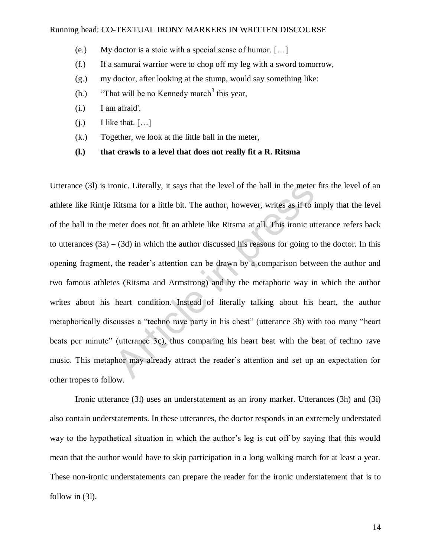- (e.) My doctor is a stoic with a special sense of humor. […]
- (f.) If a samurai warrior were to chop off my leg with a sword tomorrow,
- (g.) my doctor, after looking at the stump, would say something like:
- $(h.)$  "That will be no Kennedy march<sup>3</sup> this year,
- (i.) I am afraid'.
- $(i.)$  I like that.  $[...]$
- (k.) Together, we look at the little ball in the meter,
- **(l.) that crawls to a level that does not really fit a R. Ritsma**

Utterance (3l) is ironic. Literally, it says that the level of the ball in the meter fits the level of an athlete like Rintje Ritsma for a little bit. The author, however, writes as if to imply that the level of the ball in the meter does not fit an athlete like Ritsma at all. This ironic utterance refers back to utterances  $(3a) - (3d)$  in which the author discussed his reasons for going to the doctor. In this opening fragment, the reader's attention can be drawn by a comparison between the author and two famous athletes (Ritsma and Armstrong) and by the metaphoric way in which the author writes about his heart condition. Instead of literally talking about his heart, the author metaphorically discusses a "techno rave party in his chest" (utterance 3b) with too many "heart beats per minute" (utterance 3c), thus comparing his heart beat with the beat of techno rave music. This metaphor may already attract the reader's attention and set up an expectation for other tropes to follow. onic. Literally, it says that the level of the ball in the meter<br>Ritsma for a little bit. The author, however, writes as if to i<br>neter does not fit an athlete like Ritsma at all. This ironic ut<br>- (3d) in which the author d

Ironic utterance (3l) uses an understatement as an irony marker. Utterances (3h) and (3i) also contain understatements. In these utterances, the doctor responds in an extremely understated way to the hypothetical situation in which the author's leg is cut off by saying that this would mean that the author would have to skip participation in a long walking march for at least a year. These non-ironic understatements can prepare the reader for the ironic understatement that is to follow in (3l).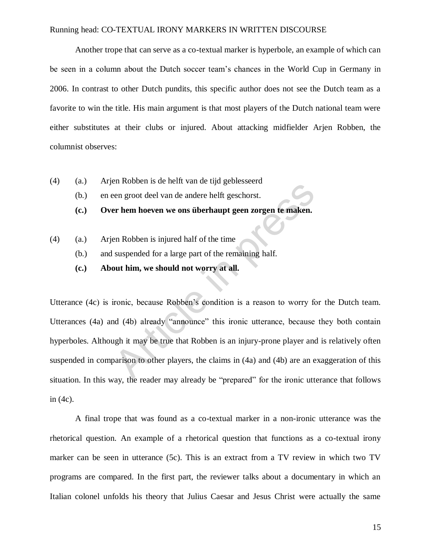Another trope that can serve as a co-textual marker is hyperbole, an example of which can be seen in a column about the Dutch soccer team's chances in the World Cup in Germany in 2006. In contrast to other Dutch pundits, this specific author does not see the Dutch team as a favorite to win the title. His main argument is that most players of the Dutch national team were either substitutes at their clubs or injured. About attacking midfielder Arjen Robben, the columnist observes:

- (4) (a.) Arjen Robben is de helft van de tijd geblesseerd
	- (b.) en een groot deel van de andere helft geschorst.
	- **(c.) Over hem hoeven we ons überhaupt geen zorgen te maken.**
- (4) (a.) Arjen Robben is injured half of the time
	- (b.) and suspended for a large part of the remaining half.
	- **(c.) About him, we should not worry at all.**

Utterance (4c) is ironic, because Robben's condition is a reason to worry for the Dutch team. Utterances  $(4a)$  and  $(4b)$  already "announce" this ironic utterance, because they both contain hyperboles. Although it may be true that Robben is an injury-prone player and is relatively often suspended in comparison to other players, the claims in (4a) and (4b) are an exaggeration of this situation. In this way, the reader may already be "prepared" for the ironic utterance that follows in (4c). Example 1 Robben is a heat variate the state charged sections.<br>
The meridian present and a subset of the time<br>
en Robben is injured half of the time<br>
suspended for a large part of the remaining half.<br> **Out him, we should n** 

A final trope that was found as a co-textual marker in a non-ironic utterance was the rhetorical question. An example of a rhetorical question that functions as a co-textual irony marker can be seen in utterance (5c). This is an extract from a TV review in which two TV programs are compared. In the first part, the reviewer talks about a documentary in which an Italian colonel unfolds his theory that Julius Caesar and Jesus Christ were actually the same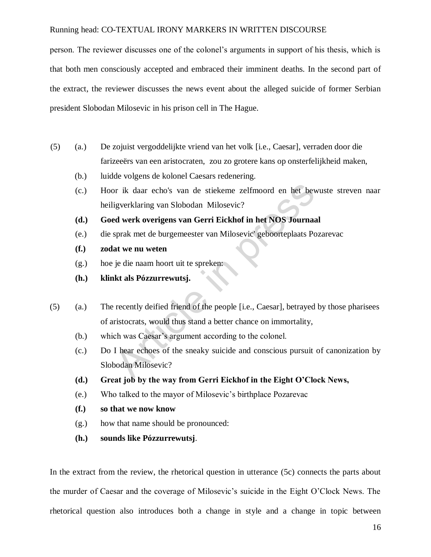person. The reviewer discusses one of the colonel's arguments in support of his thesis, which is that both men consciously accepted and embraced their imminent deaths. In the second part of the extract, the reviewer discusses the news event about the alleged suicide of former Serbian president Slobodan Milosevic in his prison cell in The Hague.

- (5) (a.) De zojuist vergoddelijkte vriend van het volk [i.e., Caesar], verraden door die farizeeërs van een aristocraten, zou zo grotere kans op onsterfelijkheid maken,
	- (b.) luidde volgens de kolonel Caesars redenering.
	- (c.) Hoor ik daar echo's van de stiekeme zelfmoord en het bewuste streven naar heiligverklaring van Slobodan Milosevic? or ik daar echo's van de stiekeme zelfmoord en het bev<br>
	igverklaring van Slobodan Milosevic?<br> **ed werk overigens van Gerri Eickhof in het NOS Journa:**<br>
	sprak met de burgemeester van Milosevic' geboorteplaats Po<br> **at we nu**
	- **(d.) Goed werk overigens van Gerri Eickhof in het NOS Journaal**
	- (e.) die sprak met de burgemeester van Milosevic' geboorteplaats Pozarevac
	- **(f.) zodat we nu weten**
	- (g.) hoe je die naam hoort uit te spreken:
	- **(h.) klinkt als Pózzurrewutsj.**
- (5) (a.) The recently deified friend of the people [i.e., Caesar], betrayed by those pharisees of aristocrats, would thus stand a better chance on immortality,
	- (b.) which was Caesar's argument according to the colonel.
	- (c.) Do I hear echoes of the sneaky suicide and conscious pursuit of canonization by Slobodan Milosevic?
	- **(d.) Great job by the way from Gerri Eickhof in the Eight O'Clock News,**
	- (e.) Who talked to the mayor of Milosevic's birthplace Pozarevac
	- **(f.) so that we now know**
	- (g.) how that name should be pronounced:
	- **(h.) sounds like Pózzurrewutsj**.

In the extract from the review, the rhetorical question in utterance (5c) connects the parts about the murder of Caesar and the coverage of Milosevic's suicide in the Eight O'Clock News. The rhetorical question also introduces both a change in style and a change in topic between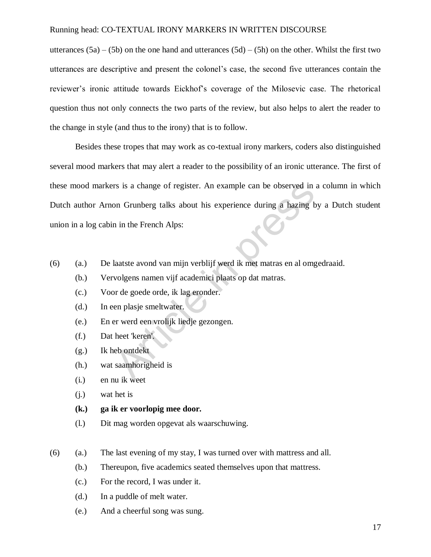utterances  $(5a) - (5b)$  on the one hand and utterances  $(5d) - (5h)$  on the other. Whilst the first two utterances are descriptive and present the colonel's case, the second five utterances contain the reviewer's ironic attitude towards Eickhof's coverage of the Milosevic case. The rhetorical question thus not only connects the two parts of the review, but also helps to alert the reader to the change in style (and thus to the irony) that is to follow.

Besides these tropes that may work as co-textual irony markers, coders also distinguished several mood markers that may alert a reader to the possibility of an ironic utterance. The first of these mood markers is a change of register. An example can be observed in a column in which Dutch author Arnon Grunberg talks about his experience during a hazing by a Dutch student union in a log cabin in the French Alps: rs is a change of register. An example can be observed in<br>on Grunberg talks about his experience during a hazing b<br>n in the French Alps:<br>laatste avond van mijn verblijf werd ik met matras en al omg<br>volgens namen vijf acade

- (6) (a.) De laatste avond van mijn verblijf werd ik met matras en al omgedraaid.
	- (b.) Vervolgens namen vijf academici plaats op dat matras.
	- (c.) Voor de goede orde, ik lag eronder.
	- (d.) In een plasje smeltwater.
	- (e.) En er werd een vrolijk liedje gezongen.
	- (f.) Dat heet 'keren'.
	- (g.) Ik heb ontdekt
	- (h.) wat saamhorigheid is
	- (i.) en nu ik weet
	- (j.) wat het is
	- **(k.) ga ik er voorlopig mee door.**
	- (l.) Dit mag worden opgevat als waarschuwing.
- (6) (a.) The last evening of my stay, I was turned over with mattress and all.
	- (b.) Thereupon, five academics seated themselves upon that mattress.
	- (c.) For the record, I was under it.
	- (d.) In a puddle of melt water.
	- (e.) And a cheerful song was sung.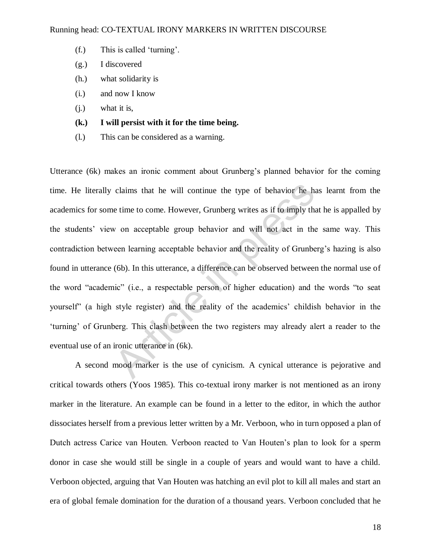- $(f.)$  This is called 'turning'.
- (g.) I discovered
- (h.) what solidarity is
- (i.) and now I know
- (j.) what it is,
- **(k.) I will persist with it for the time being.**
- (l.) This can be considered as a warning.

Utterance (6k) makes an ironic comment about Grunberg's planned behavior for the coming time. He literally claims that he will continue the type of behavior he has learnt from the academics for some time to come. However, Grunberg writes as if to imply that he is appalled by the students' view on acceptable group behavior and will not act in the same way. This contradiction between learning acceptable behavior and the reality of Grunberg's hazing is also found in utterance (6b). In this utterance, a difference can be observed between the normal use of the word "academic" (i.e., a respectable person of higher education) and the words "to seat yourself" (a high style register) and the reality of the academics' childish behavior in the ‗turning' of Grunberg. This clash between the two registers may already alert a reader to the eventual use of an ironic utterance in (6k). claims that he will continue the type of behavior he have time to come. However, Grunberg writes as if to imply that wore acceptable group behavior and will not act in the reen learning acceptable behavior and the reality

 A second mood marker is the use of cynicism. A cynical utterance is pejorative and critical towards others (Yoos 1985). This co-textual irony marker is not mentioned as an irony marker in the literature. An example can be found in a letter to the editor, in which the author dissociates herself from a previous letter written by a Mr. Verboon, who in turn opposed a plan of Dutch actress Carice van Houten. Verboon reacted to Van Houten's plan to look for a sperm donor in case she would still be single in a couple of years and would want to have a child. Verboon objected, arguing that Van Houten was hatching an evil plot to kill all males and start an era of global female domination for the duration of a thousand years. Verboon concluded that he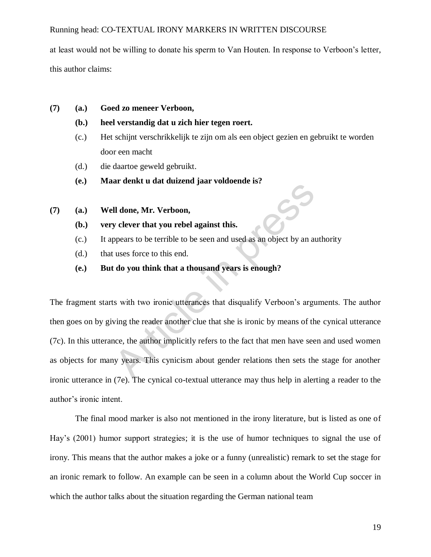at least would not be willing to donate his sperm to Van Houten. In response to Verboon's letter, this author claims:

- **(7) (a.) Goed zo meneer Verboon,** 
	- **(b.) heel verstandig dat u zich hier tegen roert.**
	- (c.) Het schijnt verschrikkelijk te zijn om als een object gezien en gebruikt te worden door een macht
	- (d.) die daartoe geweld gebruikt.
	- **(e.) Maar denkt u dat duizend jaar voldoende is?**
- **(7) (a.) Well done, Mr. Verboon,** 
	- **(b.) very clever that you rebel against this.**
	- (c.) It appears to be terrible to be seen and used as an object by an authority
	- (d.) that uses force to this end.
	- **(e.) But do you think that a thousand years is enough?**

The fragment starts with two ironic utterances that disqualify Verboon's arguments. The author then goes on by giving the reader another clue that she is ironic by means of the cynical utterance (7c). In this utterance, the author implicitly refers to the fact that men have seen and used women as objects for many years. This cynicism about gender relations then sets the stage for another ironic utterance in (7e). The cynical co-textual utterance may thus help in alerting a reader to the author's ironic intent. II done, Mr. Verboon,<br>y clever that you rebel against this.<br>ppears to be terrible to be seen and used as an object by an at<br>uses force to this end.<br>t do you think that a thousand years is enough?<br>is with two ironic utteran

 The final mood marker is also not mentioned in the irony literature, but is listed as one of Hay's (2001) humor support strategies; it is the use of humor techniques to signal the use of irony. This means that the author makes a joke or a funny (unrealistic) remark to set the stage for an ironic remark to follow. An example can be seen in a column about the World Cup soccer in which the author talks about the situation regarding the German national team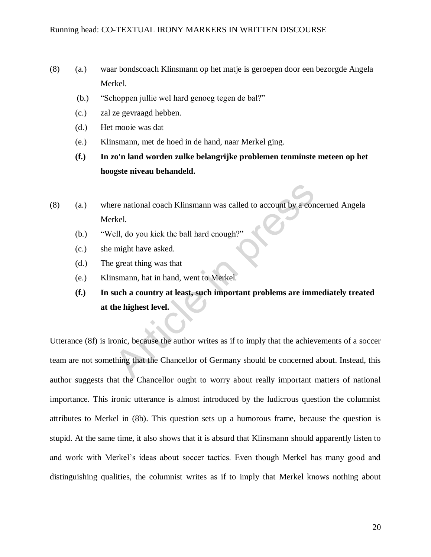- (8) (a.) waar bondscoach Klinsmann op het matje is geroepen door een bezorgde Angela Merkel.
	- (b.) "Schoppen jullie wel hard genoeg tegen de bal?"
	- (c.) zal ze gevraagd hebben.
	- (d.) Het mooie was dat
	- (e.) Klinsmann, met de hoed in de hand, naar Merkel ging.
	- **(f.) In zo'n land worden zulke belangrijke problemen tenminste meteen op het hoogste niveau behandeld.**
- (8) (a.) where national coach Klinsmann was called to account by a concerned Angela Merkel.
	- (b.) "Well, do you kick the ball hard enough?"
	- (c.) she might have asked.
	- (d.) The great thing was that
	- (e.) Klinsmann, hat in hand, went to Merkel.
	- **(f.) In such a country at least, such important problems are immediately treated at the highest level.**

Utterance (8f) is ironic, because the author writes as if to imply that the achievements of a soccer team are not something that the Chancellor of Germany should be concerned about. Instead, this author suggests that the Chancellor ought to worry about really important matters of national importance. This ironic utterance is almost introduced by the ludicrous question the columnist attributes to Merkel in (8b). This question sets up a humorous frame, because the question is stupid. At the same time, it also shows that it is absurd that Klinsmann should apparently listen to and work with Merkel's ideas about soccer tactics. Even though Merkel has many good and distinguishing qualities, the columnist writes as if to imply that Merkel knows nothing about Free national coach Klinsmann was called to account by a con<br>
Hell, do you kick the ball hard enough?"<br>
might have asked.<br>
great thing was that<br>
nsmann, hat in hand, went to Merkel.<br> **Such a country at least, such importan**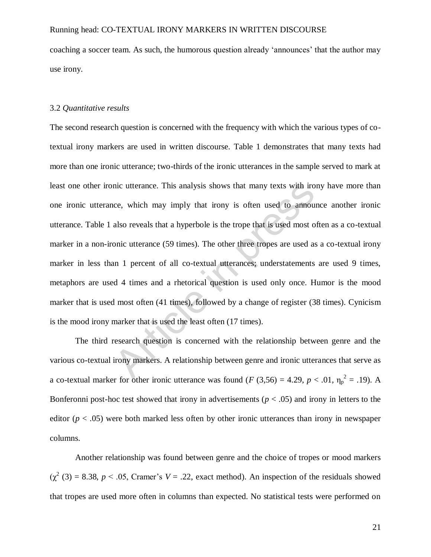coaching a soccer team. As such, the humorous question already 'announces' that the author may use irony.

## 3.2 *Quantitative results*

The second research question is concerned with the frequency with which the various types of cotextual irony markers are used in written discourse. Table 1 demonstrates that many texts had more than one ironic utterance; two-thirds of the ironic utterances in the sample served to mark at least one other ironic utterance. This analysis shows that many texts with irony have more than one ironic utterance, which may imply that irony is often used to announce another ironic utterance. Table 1 also reveals that a hyperbole is the trope that is used most often as a co-textual marker in a non-ironic utterance (59 times). The other three tropes are used as a co-textual irony marker in less than 1 percent of all co-textual utterances; understatements are used 9 times, metaphors are used 4 times and a rhetorical question is used only once. Humor is the mood marker that is used most often (41 times), followed by a change of register (38 times). Cynicism is the mood irony marker that is used the least often (17 times). ince, which may imply that irony is often used to annou<br>ce, which may imply that irony is often used to annou<br>also reveals that a hyperbole is the trope that is used most o<br>onic utterance (59 times). The other three trope

The third research question is concerned with the relationship between genre and the various co-textual irony markers. A relationship between genre and ironic utterances that serve as a co-textual marker for other ironic utterance was found (*F* (3,56) = 4.29,  $p < .01$ ,  $\eta_p^2 = .19$ ). A Bonferonni post-hoc test showed that irony in advertisements ( $p < .05$ ) and irony in letters to the editor  $(p < .05)$  were both marked less often by other ironic utterances than irony in newspaper columns.

Another relationship was found between genre and the choice of tropes or mood markers  $(\chi^2 (3) = 8.38, p < .05,$  Cramer's  $V = .22$ , exact method). An inspection of the residuals showed that tropes are used more often in columns than expected. No statistical tests were performed on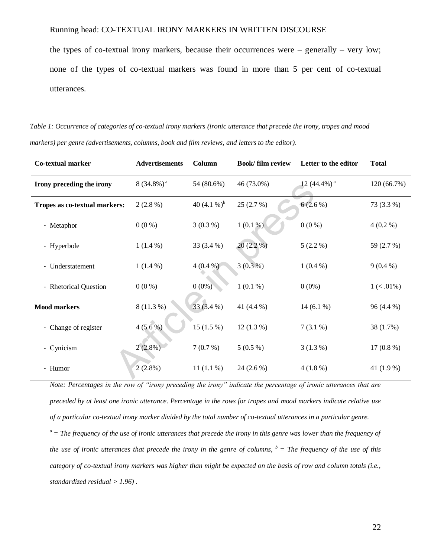the types of co-textual irony markers, because their occurrences were – generally – very low; none of the types of co-textual markers was found in more than 5 per cent of co-textual utterances.

*Table 1: Occurrence of categories of co-textual irony markers (ironic utterance that precede the irony, tropes and mood markers) per genre (advertisements, columns, book and film reviews, and letters to the editor).* 

| Co-textual marker             | <b>Advertisements</b>    | Column         | <b>Book/film review</b> | Letter to the editor       | <b>Total</b>  |
|-------------------------------|--------------------------|----------------|-------------------------|----------------------------|---------------|
| Irony preceding the irony     | $8(34.8\%)$ <sup>a</sup> | 54 (80.6%)     | 46 (73.0%)              | 12 $(44.4\%)$ <sup>a</sup> | 120 (66.7%)   |
| Tropes as co-textual markers: | $2(2.8\%)$               | 40 $(4.1\%)^b$ | 25(2.7%)                | $6(2.6\%)$                 | 73 (3.3 %)    |
| - Metaphor                    | $0(0\%)$                 | $3(0.3\%)$     | $1(0.1\%)$              | $0(0\%)$                   | $4(0.2\%)$    |
| - Hyperbole                   | $1(1.4\%)$               | 33 (3.4 %)     | $20(2.2\%)$             | $5(2.2\%)$                 | 59 (2.7 %)    |
| - Understatement              | $1(1.4\%)$               | $4(0.4\%)$     | $3(0.3\%)$              | $1(0.4\%)$                 | $9(0.4\%)$    |
| - Rhetorical Question         | $0(0\%)$                 | $0(0\%)$       | $1(0.1\%)$              | $0(0\%)$                   | $1 (< .01\%)$ |
| <b>Mood markers</b>           | $8(11.3\%)$              | 33 (3.4 %)     | 41 (4.4 %)              | 14 $(6.1\%)$               | 96 (4.4 %)    |
| - Change of register          | $4(5.6\%)$               | $15(1.5\%)$    | $12(1.3\%)$             | $7(3.1\%)$                 | 38 (1.7%)     |
| - Cynicism                    | $2(2.8\%)$               | 7(0.7%)        | $5(0.5\%)$              | $3(1.3\%)$                 | $17(0.8\%)$   |
| - Humor                       | $2(2.8\%)$               | 11 $(1.1\%)$   | $24(2.6\%)$             | $4(1.8\%)$                 | 41 (1.9 %)    |

*Note: Percentages in the row of "irony preceding the irony" indicate the percentage of ironic utterances that are preceded by at least one ironic utterance. Percentage in the rows for tropes and mood markers indicate relative use of a particular co-textual irony marker divided by the total number of co-textual utterances in a particular genre.*   $a<sup>a</sup>$  = The frequency of the use of ironic utterances that precede the irony in this genre was lower than the frequency of *the use of ironic utterances that precede the irony in the genre of columns,*  $\bar{b}$  *= The frequency of the use of this category of co-textual irony markers was higher than might be expected on the basis of row and column totals (i.e., standardized residual > 1.96) .*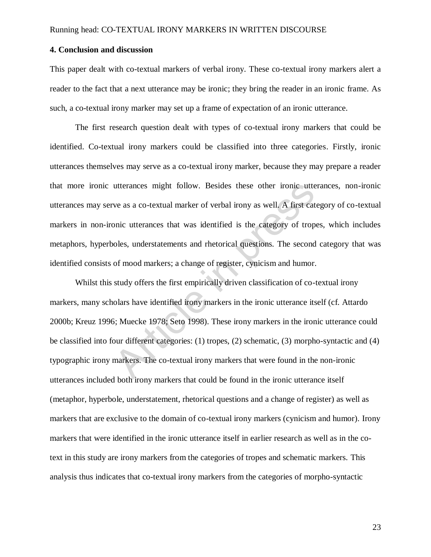## **4. Conclusion and discussion**

This paper dealt with co-textual markers of verbal irony. These co-textual irony markers alert a reader to the fact that a next utterance may be ironic; they bring the reader in an ironic frame. As such, a co-textual irony marker may set up a frame of expectation of an ironic utterance.

 The first research question dealt with types of co-textual irony markers that could be identified. Co-textual irony markers could be classified into three categories. Firstly, ironic utterances themselves may serve as a co-textual irony marker, because they may prepare a reader that more ironic utterances might follow. Besides these other ironic utterances, non-ironic utterances may serve as a co-textual marker of verbal irony as well. A first category of co-textual markers in non-ironic utterances that was identified is the category of tropes, which includes metaphors, hyperboles, understatements and rhetorical questions. The second category that was identified consists of mood markers; a change of register, cynicism and humor.

Whilst this study offers the first empirically driven classification of co-textual irony markers, many scholars have identified irony markers in the ironic utterance itself (cf. Attardo 2000b; Kreuz 1996; Muecke 1978; Seto 1998). These irony markers in the ironic utterance could be classified into four different categories: (1) tropes, (2) schematic, (3) morpho-syntactic and (4) typographic irony markers. The co-textual irony markers that were found in the non-ironic utterances included both irony markers that could be found in the ironic utterance itself (metaphor, hyperbole, understatement, rhetorical questions and a change of register) as well as markers that are exclusive to the domain of co-textual irony markers (cynicism and humor). Irony markers that were identified in the ironic utterance itself in earlier research as well as in the cotext in this study are irony markers from the categories of tropes and schematic markers. This analysis thus indicates that co-textual irony markers from the categories of morpho-syntactic utterances might follow. Besides these other ironic utterances might follow. Besides these other ironic uttera<br>two as a co-textual marker of verbal irony as well. A first cat<br>onic utterances that was identified is the cate

23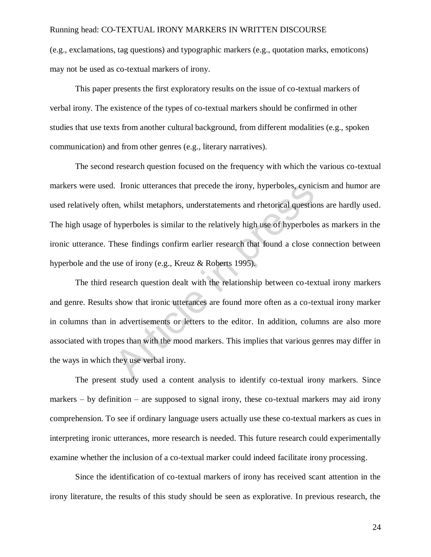(e.g., exclamations, tag questions) and typographic markers (e.g., quotation marks, emoticons) may not be used as co-textual markers of irony.

This paper presents the first exploratory results on the issue of co-textual markers of verbal irony. The existence of the types of co-textual markers should be confirmed in other studies that use texts from another cultural background, from different modalities (e.g., spoken communication) and from other genres (e.g., literary narratives).

The second research question focused on the frequency with which the various co-textual markers were used. Ironic utterances that precede the irony, hyperboles, cynicism and humor are used relatively often, whilst metaphors, understatements and rhetorical questions are hardly used. The high usage of hyperboles is similar to the relatively high use of hyperboles as markers in the ironic utterance. These findings confirm earlier research that found a close connection between hyperbole and the use of irony (e.g., Kreuz & Roberts 1995).

The third research question dealt with the relationship between co-textual irony markers and genre. Results show that ironic utterances are found more often as a co-textual irony marker in columns than in advertisements or letters to the editor. In addition, columns are also more associated with tropes than with the mood markers. This implies that various genres may differ in the ways in which they use verbal irony. I. Ironic utterances that precede the irony, hyperboles, cynic<br>
en, whilst metaphors, understatements and rhetorical questio<br>
hyperboles is similar to the relatively high use of hyperbole<br>
hese findings confirm earlier res

The present study used a content analysis to identify co-textual irony markers. Since markers  $-$  by definition  $-$  are supposed to signal irony, these co-textual markers may aid irony comprehension. To see if ordinary language users actually use these co-textual markers as cues in interpreting ironic utterances, more research is needed. This future research could experimentally examine whether the inclusion of a co-textual marker could indeed facilitate irony processing.

Since the identification of co-textual markers of irony has received scant attention in the irony literature, the results of this study should be seen as explorative. In previous research, the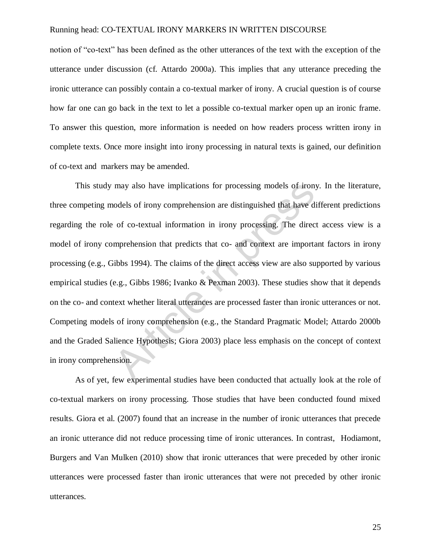notion of "co-text" has been defined as the other utterances of the text with the exception of the utterance under discussion (cf. Attardo 2000a). This implies that any utterance preceding the ironic utterance can possibly contain a co-textual marker of irony. A crucial question is of course how far one can go back in the text to let a possible co-textual marker open up an ironic frame. To answer this question, more information is needed on how readers process written irony in complete texts. Once more insight into irony processing in natural texts is gained, our definition of co-text and markers may be amended.

This study may also have implications for processing models of irony. In the literature, three competing models of irony comprehension are distinguished that have different predictions regarding the role of co-textual information in irony processing. The direct access view is a model of irony comprehension that predicts that co- and context are important factors in irony processing (e.g., Gibbs 1994). The claims of the direct access view are also supported by various empirical studies (e.g., Gibbs 1986; Ivanko & Pexman 2003). These studies show that it depends on the co- and context whether literal utterances are processed faster than ironic utterances or not. Competing models of irony comprehension (e.g., the Standard Pragmatic Model; Attardo 2000b and the Graded Salience Hypothesis; Giora 2003) place less emphasis on the concept of context in irony comprehension. may also have implications for processing models of irony<br>nodels of irony comprehension are distinguished that have d<br>of co-textual information in irony processing. The direc<br>mprehension that predicts that co- and context

As of yet, few experimental studies have been conducted that actually look at the role of co-textual markers on irony processing. Those studies that have been conducted found mixed results. Giora et al. (2007) found that an increase in the number of ironic utterances that precede an ironic utterance did not reduce processing time of ironic utterances. In contrast, Hodiamont, Burgers and Van Mulken (2010) show that ironic utterances that were preceded by other ironic utterances were processed faster than ironic utterances that were not preceded by other ironic utterances.

25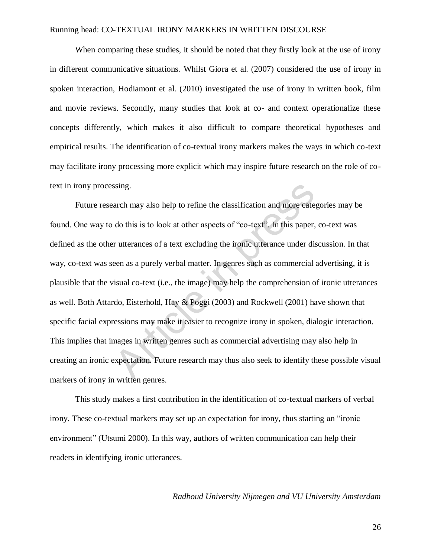When comparing these studies, it should be noted that they firstly look at the use of irony in different communicative situations. Whilst Giora et al. (2007) considered the use of irony in spoken interaction, Hodiamont et al. (2010) investigated the use of irony in written book, film and movie reviews. Secondly, many studies that look at co- and context operationalize these concepts differently, which makes it also difficult to compare theoretical hypotheses and empirical results. The identification of co-textual irony markers makes the ways in which co-text may facilitate irony processing more explicit which may inspire future research on the role of cotext in irony processing.

Future research may also help to refine the classification and more categories may be found. One way to do this is to look at other aspects of "co-text". In this paper, co-text was defined as the other utterances of a text excluding the ironic utterance under discussion. In that way, co-text was seen as a purely verbal matter. In genres such as commercial advertising, it is plausible that the visual co-text (i.e., the image) may help the comprehension of ironic utterances as well. Both Attardo, Eisterhold, Hay & Poggi (2003) and Rockwell (2001) have shown that specific facial expressions may make it easier to recognize irony in spoken, dialogic interaction. This implies that images in written genres such as commercial advertising may also help in creating an ironic expectation. Future research may thus also seek to identify these possible visual markers of irony in written genres. ssing.<br>arch may also help to refine the classification and more cate<br>do this is to look at other aspects of "co-text". In this paper,<br>r utterances of a text excluding the ironic utterance under dis<br>een as a purely verbal m

This study makes a first contribution in the identification of co-textual markers of verbal irony. These co-textual markers may set up an expectation for irony, thus starting an "ironic environment" (Utsumi 2000). In this way, authors of written communication can help their readers in identifying ironic utterances.

## *Radboud University Nijmegen and VU University Amsterdam*

26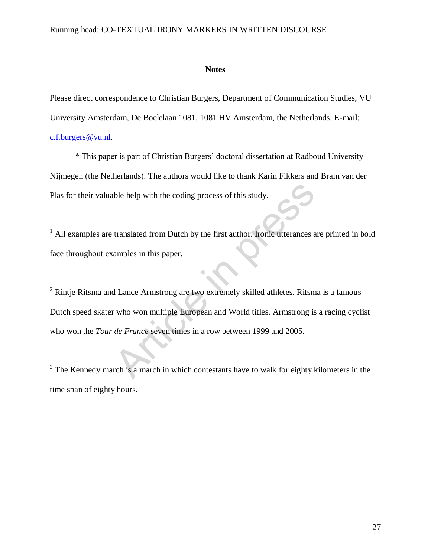## **Notes**

Please direct correspondence to Christian Burgers, Department of Communication Studies, VU

University Amsterdam, De Boelelaan 1081, 1081 HV Amsterdam, the Netherlands. E-mail:

# [c.f.burgers@vu.nl.](mailto:c.f.burgers@vu.nl)

 $\overline{a}$ 

\* This paper is part of Christian Burgers' doctoral dissertation at Radboud University Nijmegen (the Netherlands). The authors would like to thank Karin Fikkers and Bram van der Plas for their valuable help with the coding process of this study.

<sup>1</sup> All examples are translated from Dutch by the first author. Ironic utterances are printed in bold face throughout examples in this paper.

 $2$  Rintje Ritsma and Lance Armstrong are two extremely skilled athletes. Ritsma is a famous Dutch speed skater who won multiple European and World titles. Armstrong is a racing cyclist who won the *Tour de France* seven times in a row between 1999 and 2005. Article in the coding process of this study.<br>
Article in this paper.<br>
Article in this paper.<br>
A Lance Armstrong are two extremely skilled athletes. Ritsm<br>
A Lance Armstrong are two extremely skilled athletes. Ritsm<br>
Articl

 $3$  The Kennedy march is a march in which contestants have to walk for eighty kilometers in the time span of eighty hours.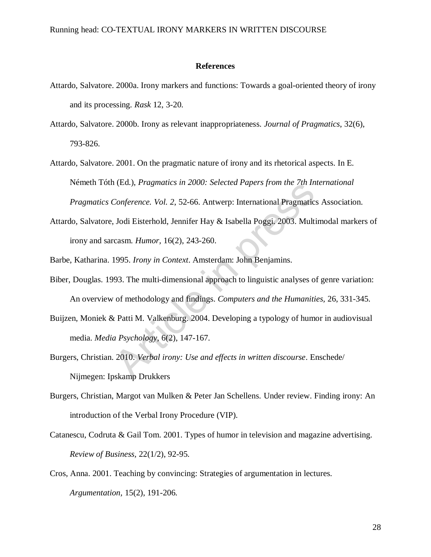#### **References**

- Attardo, Salvatore. 2000a. Irony markers and functions: Towards a goal-oriented theory of irony and its processing. *Rask* 12, 3-20.
- Attardo, Salvatore. 2000b. Irony as relevant inappropriateness. *Journal of Pragmatics*, 32(6), 793-826.
- Attardo, Salvatore. 2001. On the pragmatic nature of irony and its rhetorical aspects. In E. Németh Tóth (Ed.), *Pragmatics in 2000: Selected Papers from the 7th International Pragmatics Conference. Vol. 2*, 52-66. Antwerp: International Pragmatics Association.
- Attardo, Salvatore, Jodi Eisterhold, Jennifer Hay & Isabella Poggi. 2003. Multimodal markers of irony and sarcasm. *Humor,* 16(2), 243-260.
- Barbe, Katharina. 1995. *Irony in Context*. Amsterdam: John Benjamins.
- Biber, Douglas. 1993. The multi-dimensional approach to linguistic analyses of genre variation: An overview of methodology and findings. *Computers and the Humanities,* 26, 331-345. Conference. *Vol.* 2, 52-66. Antwerp: International Pragmatic *Conference. Vol.* 2, 52-66. Antwerp: International Pragmatic Jodi Eisterhold, Jennifer Hay & Isabella Poggi, 2003. Multicasm. *Humor*, 16(2), 243-260.<br>1995. *I*
- Buijzen, Moniek & Patti M. Valkenburg. 2004. Developing a typology of humor in audiovisual media. *Media Psychology,* 6(2), 147-167.
- Burgers, Christian. 2010. *Verbal irony: Use and effects in written discourse*. Enschede/ Nijmegen: Ipskamp Drukkers
- Burgers, Christian, Margot van Mulken & Peter Jan Schellens. Under review. Finding irony: An introduction of the Verbal Irony Procedure (VIP).
- Catanescu, Codruta & Gail Tom. 2001. Types of humor in television and magazine advertising. *Review of Business,* 22(1/2), 92-95.
- Cros, Anna. 2001. Teaching by convincing: Strategies of argumentation in lectures. *Argumentation,* 15(2), 191-206.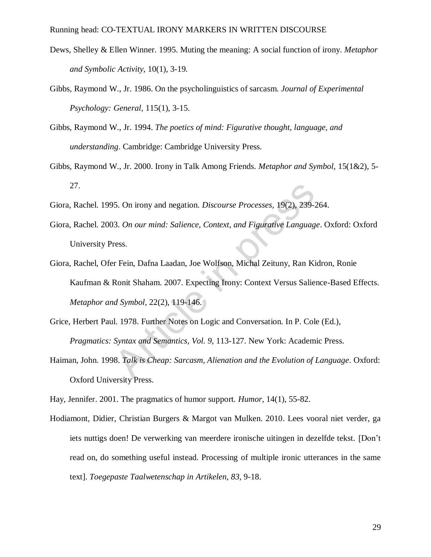- Dews, Shelley & Ellen Winner. 1995. Muting the meaning: A social function of irony. *Metaphor and Symbolic Activity,* 10(1), 3-19.
- Gibbs, Raymond W., Jr. 1986. On the psycholinguistics of sarcasm. *Journal of Experimental Psychology: General,* 115(1), 3-15.
- Gibbs, Raymond W., Jr. 1994. *The poetics of mind: Figurative thought, language, and understanding*. Cambridge: Cambridge University Press.
- Gibbs, Raymond W., Jr. 2000. Irony in Talk Among Friends. *Metaphor and Symbol,* 15(1&2), 5- 27.
- Giora, Rachel. 1995. On irony and negation. *Discourse Processes,* 19(2), 239-264.
- Giora, Rachel. 2003. *On our mind: Salience, Context, and Figurative Language*. Oxford: Oxford University Press.
- Giora, Rachel, Ofer Fein, Dafna Laadan, Joe Wolfson, Michal Zeituny, Ran Kidron, Ronie Kaufman & Ronit Shaham. 2007. Expecting Irony: Context Versus Salience-Based Effects. *Metaphor and Symbol,* 22(2), 119-146. 15. On irony and negation. *Discourse Processes*, 19(2), 239-2<br>
13. *On our mind: Salience, Context, and Figurative Languag*<br>
ress.<br>
17 Fein, Dafna Laadan, Joe Wolfson, Michal Zeituny, Ran Ki<br>
18. Ronit Shaham. 2007. Expec
- Grice, Herbert Paul. 1978. Further Notes on Logic and Conversation. In P. Cole (Ed.), *Pragmatics: Syntax and Semantics, Vol. 9*, 113-127. New York: Academic Press.
- Haiman, John. 1998. *Talk is Cheap: Sarcasm, Alienation and the Evolution of Language*. Oxford: Oxford University Press.

Hay, Jennifer. 2001. The pragmatics of humor support. *Humor,* 14(1), 55-82.

Hodiamont, Didier, Christian Burgers & Margot van Mulken. 2010. Lees vooral niet verder, ga iets nuttigs doen! De verwerking van meerdere ironische uitingen in dezelfde tekst. [Don't read on, do something useful instead. Processing of multiple ironic utterances in the same text]. *Toegepaste Taalwetenschap in Artikelen, 83*, 9-18.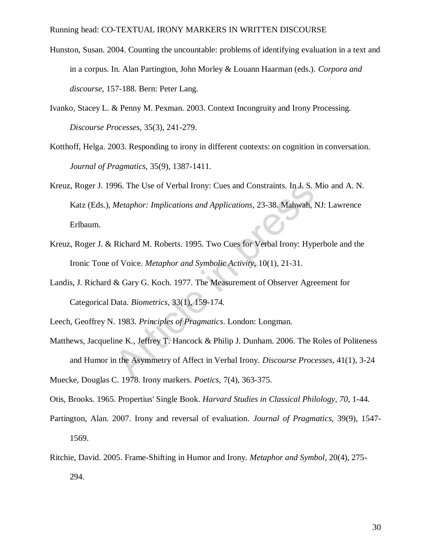- Hunston, Susan. 2004. Counting the uncountable: problems of identifying evaluation in a text and in a corpus. In. Alan Partington, John Morley & Louann Haarman (eds.). *Corpora and discourse*, 157-188. Bern: Peter Lang.
- Ivanko, Stacey L. & Penny M. Pexman. 2003. Context Incongruity and Irony Processing. *Discourse Processes,* 35(3), 241-279.
- Kotthoff, Helga. 2003. Responding to irony in different contexts: on cognition in conversation. *Journal of Pragmatics,* 35(9), 1387-1411.
- Kreuz, Roger J. 1996. The Use of Verbal Irony: Cues and Constraints. In J. S. Mio and A. N. Katz (Eds.), *Metaphor: Implications and Applications*, 23-38. Mahwah, NJ: Lawrence Erlbaum. 96. The Use of Verbal Irony: Cues and Constraints. In J. S. I<br> *Metaphor: Implications and Applications*, 23-38. Mahwah, 1<br>
Richard M. Roberts. 1995. Two Cues for Verbal Irony: Hyp<br>
of Voice. *Metaphor and Symbolic Activit*
- Kreuz, Roger J. & Richard M. Roberts. 1995. Two Cues for Verbal Irony: Hyperbole and the Ironic Tone of Voice. *Metaphor and Symbolic Activity,* 10(1), 21-31.
- Landis, J. Richard & Gary G. Koch. 1977. The Measurement of Observer Agreement for Categorical Data. *Biometrics,* 33(1), 159-174.

Leech, Geoffrey N. 1983. *Principles of Pragmatics*. London: Longman.

Matthews, Jacqueline K., Jeffrey T. Hancock & Philip J. Dunham. 2006. The Roles of Politeness and Humor in the Asymmetry of Affect in Verbal Irony. *Discourse Processes,* 41(1), 3-24

Muecke, Douglas C. 1978. Irony markers. *Poetics,* 7(4), 363-375.

Otis, Brooks. 1965. Propertius' Single Book. *Harvard Studies in Classical Philology, 70*, 1-44.

- Partington, Alan. 2007. Irony and reversal of evaluation. *Journal of Pragmatics,* 39(9), 1547- 1569.
- Ritchie, David. 2005. Frame-Shifting in Humor and Irony. *Metaphor and Symbol,* 20(4), 275- 294.